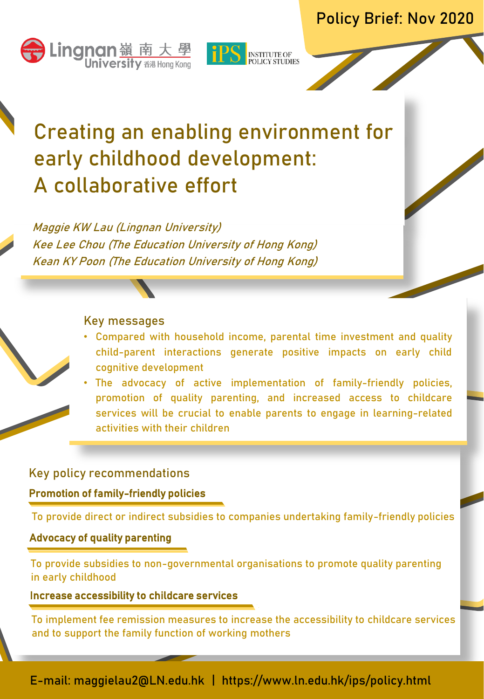



# Creating an enabling environment for early childhood development: A collaborative effort

Maggie KW Lau (Lingnan University) Kee Lee Chou (The Education University of Hong Kong) Kean KY Poon (The Education University of Hong Kong)

#### Key messages

- Compared with household income, parental time investment and quality child-parent interactions generate positive impacts on early child cognitive development
- The advocacy of active implementation of family-friendly policies, promotion of quality parenting, and increased access to childcare services will be crucial to enable parents to engage in learning-related activities with their children

# Key policy recommendations

# Promotion of family-friendly policies

To provide direct or indirect subsidies to companies undertaking family-friendly policies

# Advocacy of quality parenting

To provide subsidies to non-governmental organisations to promote quality parenting in early childhood

### Increase accessibility to childcare services

To implement fee remission measures to increase the accessibility to childcare services and to support the family function of working mothers

E-mail: maggielau2@LN.edu.hk | https://www.ln.edu.hk/ips/policy.html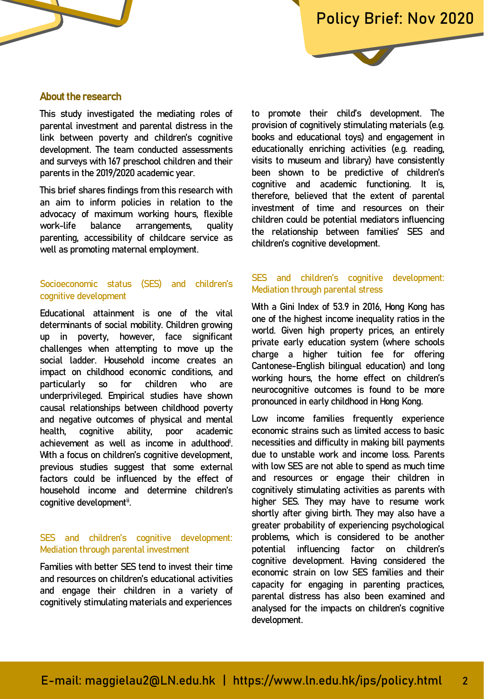#### About the research

This study investigated the mediating roles of parental investment and parental distress in the link between poverty and children's cognitive development. The team conducted assessments and surveys with 167 preschool children and their parents in the 2019/2020 academic year.

This brief shares findings from this research with an aim to inform policies in relation to the advocacy of maximum working hours, flexible work-life balance arrangements, quality parenting, accessibility of childcare service as well as promoting maternal employment.

#### Socioeconomic status (SES) and children's cognitive development

With a focus on children's cognitive development, and the to unstable whether Educational attainment is one of the vital determinants of social mobility. Children growing up in poverty, however, face significant challenges when attempting to move up the social ladder. Household income creates an impact on childhood economic conditions, and particularly so for children who are underprivileged. Empirical studies have shown causal relationships between childhood poverty and negative outcomes of physical and mental health, cognitive ability, poor academic achievement as well as income in adulthood<sup>i</sup>. . previous studies suggest that some external factors could be influenced by the effect of household income and determine children's cognitive developmentii. .

#### SES and children's cognitive development: Mediation through parental investment

Families with better SES tend to invest their time and resources on children's educational activities and engage their children in a variety of cognitively stimulating materials and experiences to promote their child's development. The provision of cognitively stimulating materials (e.g. books and educational toys) and engagement in educationally enriching activities (e.g. reading, visits to museum and library) have consistently been shown to be predictive of children's cognitive and academic functioning. It is, therefore, believed that the extent of parental investment of time and resources on their children could be potential mediators influencing the relationship between families' SES and children's cognitive development.

#### SES and children's cognitive development: Mediation through parental stress

party. Children growing world. Given high property prices, an entirely<br>er. face significant ting to move up the charge a higher tuition fee for offering rearly child cantonese-English bilingual education) and long<br>nomic conditions and children who are working-friendly the field of children's r studies have shown<br>reen childhood noverty pronounced in early childhood in Hong Kong. With a Gini Index of 53.9 in 2016, Hong Kong has one of the highest income inequality ratios in the private early education system (where schools working hours, the home effect on children's

f physical and mental Low income families frequently experience ty, poor academic economic strains such as unlited access to basic<br>income in adulthood<sup>i</sup>. necessities and difficulty in making bill payments economic strains such as limited access to basic due to unstable work and income loss. Parents with low SES are not able to spend as much time and resources or engage their children in cognitively stimulating activities as parents with higher SES. They may have to resume work shortly after giving birth. They may also have a greater probability of experiencing psychological problems, which is considered to be another potential influencing factor on children's cognitive development. Having considered the economic strain on low SES families and their capacity for engaging in parenting practices, parental distress has also been examined and analysed for the impacts on children's cognitive development.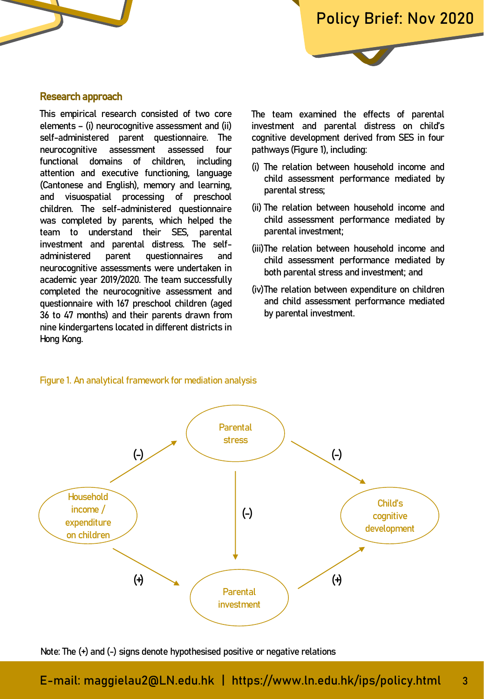#### Research approach

This empirical research consisted of two core elements – (i) neurocognitive assessment and (ii) self-administered parent questionnaire. The neurocognitive assessment assessed four functional domains of children, including attention and executive functioning, language (Cantonese and English), memory and learning, and visuospatial processing of preschool children. The self-administered questionnaire was completed by parents, which helped the team to understand their SES, parental investment and parental distress. The selfadministered parent questionnaires and neurocognitive assessments were undertaken in academic year 2019/2020. The team successfully completed the neurocognitive assessment and questionnaire with 167 preschool children (aged 36 to 47 months) and their parents drawn from nine kindergartens located in different districts in Hong Kong.

The team examined the effects of parental investment and parental distress on child's cognitive development derived from SES in four pathways (Figure 1), including:

- (i) The relation between household income and child assessment performance mediated by parental stress;
- (ii) The relation between household income and child assessment performance mediated by parental investment;
- (iii)The relation between household income and child assessment performance mediated by both parental stress and investment; and
- (iv)The relation between expenditure on children and child assessment performance mediated by parental investment.



Figure 1. An analytical framework for mediation analysis

Note: The (+) and (-) signs denote hypothesised positive or negative relations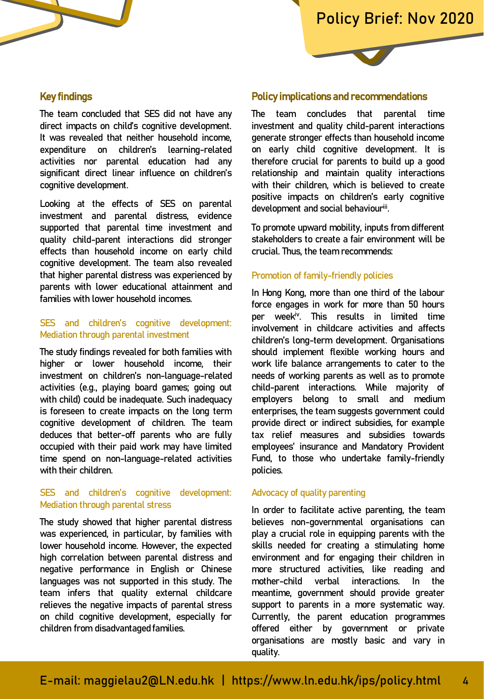#### Key findings

The team concluded that SES did not have any direct impacts on child's cognitive development. It was revealed that neither household income, expenditure on children's learning-related activities nor parental education had any significant direct linear influence on children's cognitive development.

Looking at the effects of SES on parental investment and parental distress, evidence supported that parental time investment and quality child-parent interactions did stronger effects than household income on early child cognitive development. The team also revealed that higher parental distress was experienced by parents with lower educational attainment and families with lower household incomes.

#### SES and children's cognitive development: Mediation through parental investment

occupied with their paid work may have unlited the employees insura<br>time spend on non-language-related activities the Fund, to those v The study findings revealed for both families with higher or lower household income, their investment on children's non-language-related activities (e.g., playing board games; going out with child) could be inadequate. Such inadequacy is foreseen to create impacts on the long term cognitive development of children. The team deduces that better-off parents who are fully occupied with their paid work may have limited with their children.

#### SES and children's cognitive development: Mediation through parental stress

The study showed that higher parental distress was experienced, in particular, by families with lower household income. However, the expected high correlation between parental distress and negative performance in English or Chinese languages was not supported in this study. The team infers that quality external childcare relieves the negative impacts of parental stress on child cognitive development, especially for children from disadvantaged families.

#### Policy implications and recommendations

The team concludes that parental time investment and quality child-parent interactions generate stronger effects than household income on early child cognitive development. It is therefore crucial for parents to build up a good relationship and maintain quality interactions with their children, which is believed to create positive impacts on children's early cognitive development and social behaviouriii. .

To promote upward mobility, inputs from different stakeholders to create a fair environment will be crucial. Thus, the team recommends:

#### Promotion of family-friendly policies

investment and time involvement in childcare activities and affects<br>children's long-term development. Organisations d for both families with should implement flexible working hours and ehold income, their work life balance arrangements to cater to the annual structure arrangements to cater to the of any tanguage returns to come of the range and games; going out child-parent interactions. While majority of quate Such inadequacy employers belong to small and medium access on the tong term of chemphods, the team odggebol government codita<br>for children. The team provide direct or indirect subsidies, for example parents who are fully tax relief measures and subsidies towards In Hong Kong, more than one third of the labour force engages in work for more than 50 hours per week<sup>iv</sup>. This results in limited time involvement in childcare activities and affects needs of working parents as well as to promote enterprises, the team suggests government could employees' insurance and Mandatory Provident Fund, to those who undertake family-friendly policies.

#### Advocacy of quality parenting

In order to facilitate active parenting, the team believes non-governmental organisations can play a crucial role in equipping parents with the skills needed for creating a stimulating home environment and for engaging their children in more structured activities, like reading and mother-child verbal interactions. In the meantime, government should provide greater support to parents in a more systematic way. Currently, the parent education programmes offered either by government or private organisations are mostly basic and vary in quality.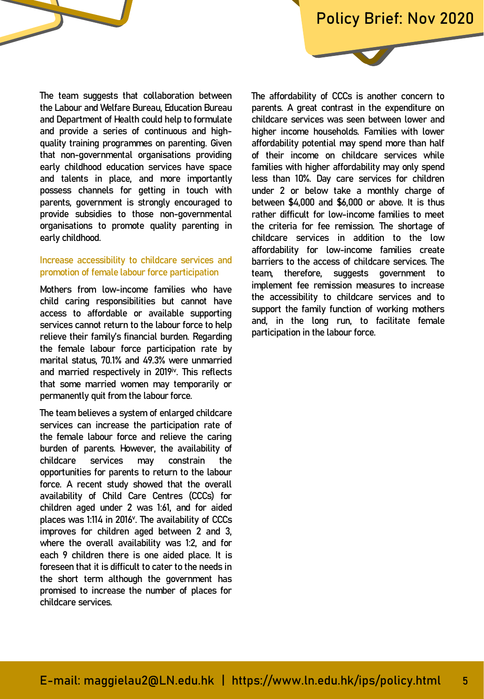The team suggests that collaboration between the Labour and Welfare Bureau, Education Bureau and Department of Health could help to formulate and provide a series of continuous and highquality training programmes on parenting. Given that non-governmental organisations providing early childhood education services have space and talents in place, and more importantly possess channels for getting in touch with parents, government is strongly encouraged to provide subsidies to those non-governmental organisations to promote quality parenting in early childhood.

#### Increase accessibility to childcare services and promotion of female labour force participation

the female labour force participation rate by  $\frac{1}{2}$  and married respectively in 2019<sup>iv</sup>. This reflects that some married women may temporarily or  $p$  and  $p$  are not quality parameters, and  $p$  and  $p$  and  $p$  and  $p$  and  $p$  and  $p$  and  $p$  and  $p$  and  $p$  and  $p$  and  $p$  and  $p$  and  $p$  and  $p$  and  $p$  and  $p$  and  $p$  and  $p$  and  $p$  and  $p$  and  $p$  and  $p$  and Mothers from low-income families who have child caring responsibilities but cannot have access to affordable or available supporting services cannot return to the labour force to help relieve their family's financial burden. Regarding marital status, 70.1% and 49.3% were unmarried permanently quit from the labour force.

me team betteves a system of entarged childcare<br>services can increase the participation rate of the female labour force and relieve the caring-relation of the state of the state of the state of the state of burden of parents. However, the availability of The team believes a system of enlarged childcare childcare services may constrain the opportunities for parents to return to the labour force. A recent study showed that the overall availability of Child Care Centres (CCCs) for children aged under 2 was 1:61, and for aided places was 1:114 in 2016<sup>v</sup>. The availability of CCCs improves for children aged between 2 and 3, where the overall availability was 1:2, and for each 9 children there is one aided place. It is foreseen that it is difficult to cater to the needs in the short term although the government has promised to increase the number of places for childcare services.

ne labour force to help and participation in the labour force.<br>cial burden. Regarding and participation in the labour force. The affordability of CCCs is another concern to parents. A great contrast in the expenditure on childcare services was seen between lower and higher income households. Families with lower affordability potential may spend more than half of their income on childcare services while families with higher affordability may only spend less than 10%. Day care services for children under 2 or below take a monthly charge of between \$4,000 and \$6,000 or above. It is thus rather difficult for low-income families to meet the criteria for fee remission. The shortage of childcare services in addition to the low affordability for low-income families create barriers to the access of childcare services. The team, therefore, suggests government to implement fee remission measures to increase the accessibility to childcare services and to support the family function of working mothers and, in the long run, to facilitate female